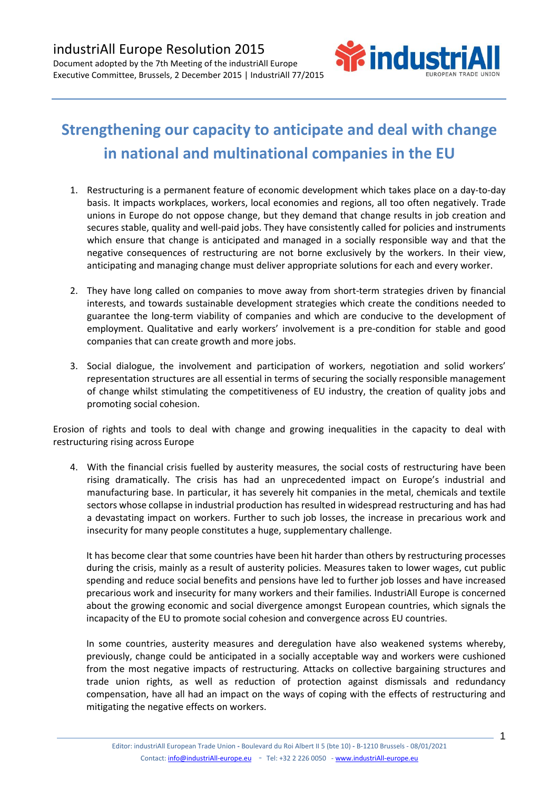

## **Strengthening our capacity to anticipate and deal with change in national and multinational companies in the EU**

- 1. Restructuring is a permanent feature of economic development which takes place on a day-to-day basis. It impacts workplaces, workers, local economies and regions, all too often negatively. Trade unions in Europe do not oppose change, but they demand that change results in job creation and secures stable, quality and well-paid jobs. They have consistently called for policies and instruments which ensure that change is anticipated and managed in a socially responsible way and that the negative consequences of restructuring are not borne exclusively by the workers. In their view, anticipating and managing change must deliver appropriate solutions for each and every worker.
- 2. They have long called on companies to move away from short-term strategies driven by financial interests, and towards sustainable development strategies which create the conditions needed to guarantee the long-term viability of companies and which are conducive to the development of employment. Qualitative and early workers' involvement is a pre-condition for stable and good companies that can create growth and more jobs.
- 3. Social dialogue, the involvement and participation of workers, negotiation and solid workers' representation structures are all essential in terms of securing the socially responsible management of change whilst stimulating the competitiveness of EU industry, the creation of quality jobs and promoting social cohesion.

Erosion of rights and tools to deal with change and growing inequalities in the capacity to deal with restructuring rising across Europe

4. With the financial crisis fuelled by austerity measures, the social costs of restructuring have been rising dramatically. The crisis has had an unprecedented impact on Europe's industrial and manufacturing base. In particular, it has severely hit companies in the metal, chemicals and textile sectors whose collapse in industrial production has resulted in widespread restructuring and has had a devastating impact on workers. Further to such job losses, the increase in precarious work and insecurity for many people constitutes a huge, supplementary challenge.

It has become clear that some countries have been hit harder than others by restructuring processes during the crisis, mainly as a result of austerity policies. Measures taken to lower wages, cut public spending and reduce social benefits and pensions have led to further job losses and have increased precarious work and insecurity for many workers and their families. IndustriAll Europe is concerned about the growing economic and social divergence amongst European countries, which signals the incapacity of the EU to promote social cohesion and convergence across EU countries.

In some countries, austerity measures and deregulation have also weakened systems whereby, previously, change could be anticipated in a socially acceptable way and workers were cushioned from the most negative impacts of restructuring. Attacks on collective bargaining structures and trade union rights, as well as reduction of protection against dismissals and redundancy compensation, have all had an impact on the ways of coping with the effects of restructuring and mitigating the negative effects on workers.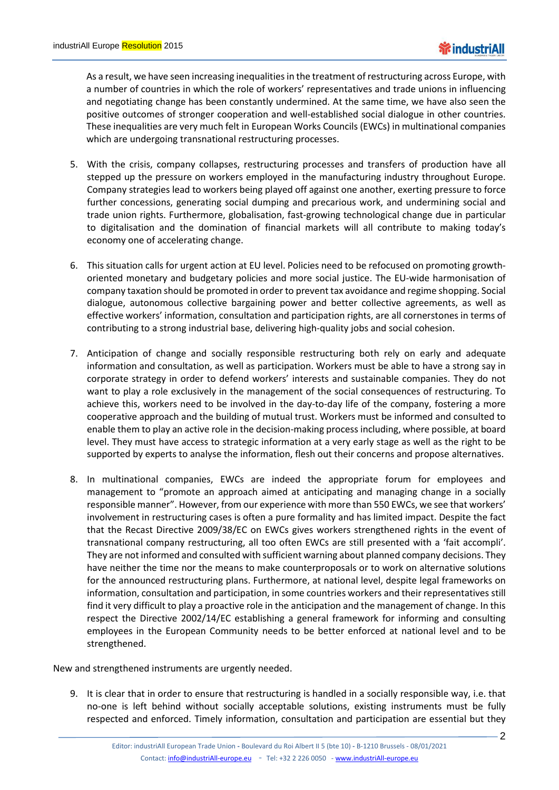As a result, we have seen increasing inequalities in the treatment of restructuring across Europe, with a number of countries in which the role of workers' representatives and trade unions in influencing and negotiating change has been constantly undermined. At the same time, we have also seen the positive outcomes of stronger cooperation and well-established social dialogue in other countries. These inequalities are very much felt in European Works Councils (EWCs) in multinational companies which are undergoing transnational restructuring processes.

- 5. With the crisis, company collapses, restructuring processes and transfers of production have all stepped up the pressure on workers employed in the manufacturing industry throughout Europe. Company strategies lead to workers being played off against one another, exerting pressure to force further concessions, generating social dumping and precarious work, and undermining social and trade union rights. Furthermore, globalisation, fast-growing technological change due in particular to digitalisation and the domination of financial markets will all contribute to making today's economy one of accelerating change.
- 6. This situation calls for urgent action at EU level. Policies need to be refocused on promoting growthoriented monetary and budgetary policies and more social justice. The EU-wide harmonisation of company taxation should be promoted in order to prevent tax avoidance and regime shopping. Social dialogue, autonomous collective bargaining power and better collective agreements, as well as effective workers' information, consultation and participation rights, are all cornerstones in terms of contributing to a strong industrial base, delivering high-quality jobs and social cohesion.
- 7. Anticipation of change and socially responsible restructuring both rely on early and adequate information and consultation, as well as participation. Workers must be able to have a strong say in corporate strategy in order to defend workers' interests and sustainable companies. They do not want to play a role exclusively in the management of the social consequences of restructuring. To achieve this, workers need to be involved in the day-to-day life of the company, fostering a more cooperative approach and the building of mutual trust. Workers must be informed and consulted to enable them to play an active role in the decision-making process including, where possible, at board level. They must have access to strategic information at a very early stage as well as the right to be supported by experts to analyse the information, flesh out their concerns and propose alternatives.
- 8. In multinational companies, EWCs are indeed the appropriate forum for employees and management to "promote an approach aimed at anticipating and managing change in a socially responsible manner". However, from our experience with more than 550 EWCs, we see that workers' involvement in restructuring cases is often a pure formality and has limited impact. Despite the fact that the Recast Directive 2009/38/EC on EWCs gives workers strengthened rights in the event of transnational company restructuring, all too often EWCs are still presented with a 'fait accompli'. They are not informed and consulted with sufficient warning about planned company decisions. They have neither the time nor the means to make counterproposals or to work on alternative solutions for the announced restructuring plans. Furthermore, at national level, despite legal frameworks on information, consultation and participation, in some countries workers and their representatives still find it very difficult to play a proactive role in the anticipation and the management of change. In this respect the Directive 2002/14/EC establishing a general framework for informing and consulting employees in the European Community needs to be better enforced at national level and to be strengthened.

New and strengthened instruments are urgently needed.

9. It is clear that in order to ensure that restructuring is handled in a socially responsible way, i.e. that no-one is left behind without socially acceptable solutions, existing instruments must be fully respected and enforced. Timely information, consultation and participation are essential but they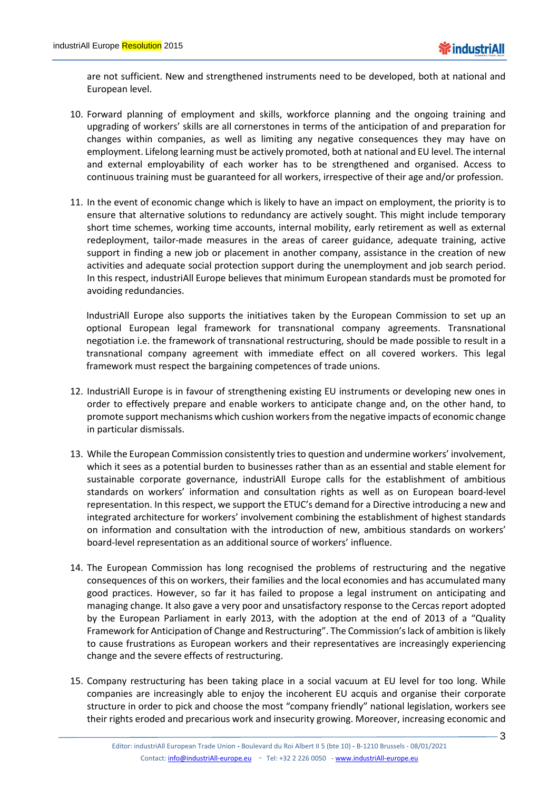are not sufficient. New and strengthened instruments need to be developed, both at national and European level.

- 10. Forward planning of employment and skills, workforce planning and the ongoing training and upgrading of workers' skills are all cornerstones in terms of the anticipation of and preparation for changes within companies, as well as limiting any negative consequences they may have on employment. Lifelong learning must be actively promoted, both at national and EU level. The internal and external employability of each worker has to be strengthened and organised. Access to continuous training must be guaranteed for all workers, irrespective of their age and/or profession.
- 11. In the event of economic change which is likely to have an impact on employment, the priority is to ensure that alternative solutions to redundancy are actively sought. This might include temporary short time schemes, working time accounts, internal mobility, early retirement as well as external redeployment, tailor-made measures in the areas of career guidance, adequate training, active support in finding a new job or placement in another company, assistance in the creation of new activities and adequate social protection support during the unemployment and job search period. In this respect, industriAll Europe believes that minimum European standards must be promoted for avoiding redundancies.

IndustriAll Europe also supports the initiatives taken by the European Commission to set up an optional European legal framework for transnational company agreements. Transnational negotiation i.e. the framework of transnational restructuring, should be made possible to result in a transnational company agreement with immediate effect on all covered workers. This legal framework must respect the bargaining competences of trade unions.

- 12. IndustriAll Europe is in favour of strengthening existing EU instruments or developing new ones in order to effectively prepare and enable workers to anticipate change and, on the other hand, to promote support mechanisms which cushion workers from the negative impacts of economic change in particular dismissals.
- 13. While the European Commission consistently triesto question and undermine workers' involvement, which it sees as a potential burden to businesses rather than as an essential and stable element for sustainable corporate governance, industriAll Europe calls for the establishment of ambitious standards on workers' information and consultation rights as well as on European board-level representation. In this respect, we support the ETUC's demand for a Directive introducing a new and integrated architecture for workers' involvement combining the establishment of highest standards on information and consultation with the introduction of new, ambitious standards on workers' board-level representation as an additional source of workers' influence.
- 14. The European Commission has long recognised the problems of restructuring and the negative consequences of this on workers, their families and the local economies and has accumulated many good practices. However, so far it has failed to propose a legal instrument on anticipating and managing change. It also gave a very poor and unsatisfactory response to the Cercas report adopted by the European Parliament in early 2013, with the adoption at the end of 2013 of a "Quality Framework for Anticipation of Change and Restructuring". The Commission'slack of ambition islikely to cause frustrations as European workers and their representatives are increasingly experiencing change and the severe effects of restructuring.
- 15. Company restructuring has been taking place in a social vacuum at EU level for too long. While companies are increasingly able to enjoy the incoherent EU acquis and organise their corporate structure in order to pick and choose the most "company friendly" national legislation, workers see their rights eroded and precarious work and insecurity growing. Moreover, increasing economic and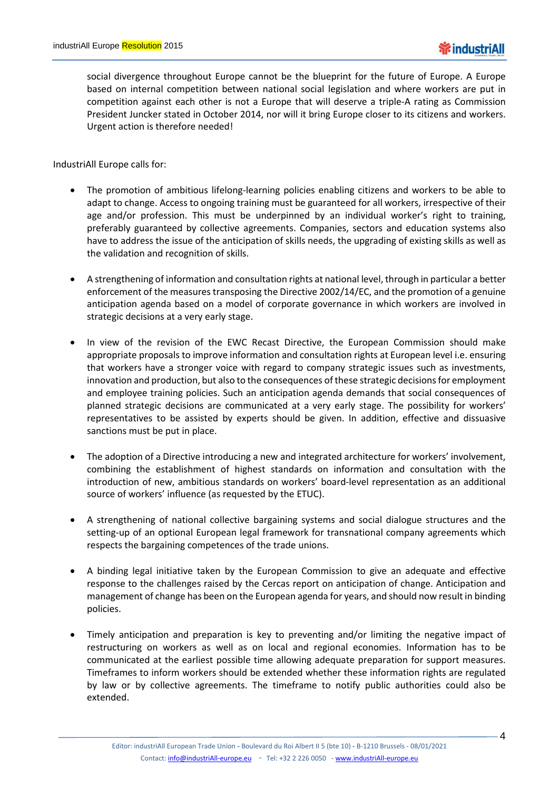

social divergence throughout Europe cannot be the blueprint for the future of Europe. A Europe based on internal competition between national social legislation and where workers are put in competition against each other is not a Europe that will deserve a triple-A rating as Commission President Juncker stated in October 2014, nor will it bring Europe closer to its citizens and workers. Urgent action is therefore needed!

IndustriAll Europe calls for:

- The promotion of ambitious lifelong-learning policies enabling citizens and workers to be able to adapt to change. Access to ongoing training must be guaranteed for all workers, irrespective of their age and/or profession. This must be underpinned by an individual worker's right to training, preferably guaranteed by collective agreements. Companies, sectors and education systems also have to address the issue of the anticipation of skills needs, the upgrading of existing skills as well as the validation and recognition of skills.
- A strengthening of information and consultation rights at national level, through in particular a better enforcement of the measures transposing the Directive 2002/14/EC, and the promotion of a genuine anticipation agenda based on a model of corporate governance in which workers are involved in strategic decisions at a very early stage.
- In view of the revision of the EWC Recast Directive, the European Commission should make appropriate proposals to improve information and consultation rights at European level i.e. ensuring that workers have a stronger voice with regard to company strategic issues such as investments, innovation and production, but also to the consequences of these strategic decisions for employment and employee training policies. Such an anticipation agenda demands that social consequences of planned strategic decisions are communicated at a very early stage. The possibility for workers' representatives to be assisted by experts should be given. In addition, effective and dissuasive sanctions must be put in place.
- The adoption of a Directive introducing a new and integrated architecture for workers' involvement, combining the establishment of highest standards on information and consultation with the introduction of new, ambitious standards on workers' board-level representation as an additional source of workers' influence (as requested by the ETUC).
- A strengthening of national collective bargaining systems and social dialogue structures and the setting-up of an optional European legal framework for transnational company agreements which respects the bargaining competences of the trade unions.
- A binding legal initiative taken by the European Commission to give an adequate and effective response to the challenges raised by the Cercas report on anticipation of change. Anticipation and management of change has been on the European agenda for years, and should now result in binding policies.
- Timely anticipation and preparation is key to preventing and/or limiting the negative impact of restructuring on workers as well as on local and regional economies. Information has to be communicated at the earliest possible time allowing adequate preparation for support measures. Timeframes to inform workers should be extended whether these information rights are regulated by law or by collective agreements. The timeframe to notify public authorities could also be extended.